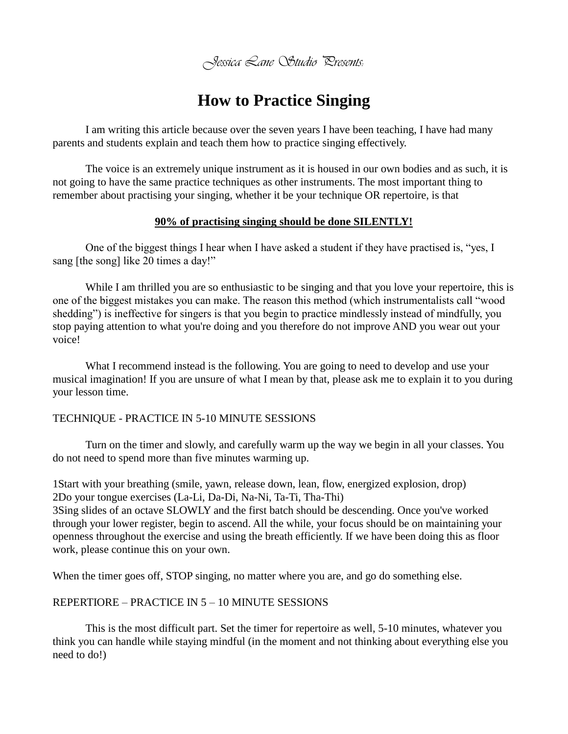*Jessica Lane Studio Presents:*

## **How to Practice Singing**

I am writing this article because over the seven years I have been teaching, I have had many parents and students explain and teach them how to practice singing effectively.

The voice is an extremely unique instrument as it is housed in our own bodies and as such, it is not going to have the same practice techniques as other instruments. The most important thing to remember about practising your singing, whether it be your technique OR repertoire, is that

#### **90% of practising singing should be done SILENTLY!**

One of the biggest things I hear when I have asked a student if they have practised is, "yes, I sang [the song] like 20 times a day!"

While I am thrilled you are so enthusiastic to be singing and that you love your repertoire, this is one of the biggest mistakes you can make. The reason this method (which instrumentalists call "wood shedding") is ineffective for singers is that you begin to practice mindlessly instead of mindfully, you stop paying attention to what you're doing and you therefore do not improve AND you wear out your voice!

What I recommend instead is the following. You are going to need to develop and use your musical imagination! If you are unsure of what I mean by that, please ask me to explain it to you during your lesson time.

#### TECHNIQUE - PRACTICE IN 5-10 MINUTE SESSIONS

Turn on the timer and slowly, and carefully warm up the way we begin in all your classes. You do not need to spend more than five minutes warming up.

1Start with your breathing (smile, yawn, release down, lean, flow, energized explosion, drop) 2Do your tongue exercises (La-Li, Da-Di, Na-Ni, Ta-Ti, Tha-Thi) 3Sing slides of an octave SLOWLY and the first batch should be descending. Once you've worked

through your lower register, begin to ascend. All the while, your focus should be on maintaining your openness throughout the exercise and using the breath efficiently. If we have been doing this as floor work, please continue this on your own.

When the timer goes off, STOP singing, no matter where you are, and go do something else.

#### REPERTIORE – PRACTICE IN 5 – 10 MINUTE SESSIONS

This is the most difficult part. Set the timer for repertoire as well, 5-10 minutes, whatever you think you can handle while staying mindful (in the moment and not thinking about everything else you need to do!)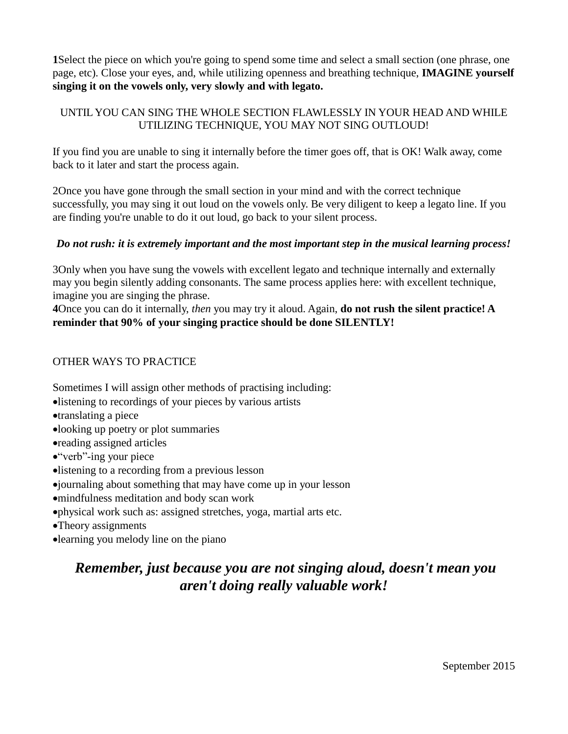**1**Select the piece on which you're going to spend some time and select a small section (one phrase, one page, etc). Close your eyes, and, while utilizing openness and breathing technique, **IMAGINE yourself singing it on the vowels only, very slowly and with legato.**

## UNTIL YOU CAN SING THE WHOLE SECTION FLAWLESSLY IN YOUR HEAD AND WHILE UTILIZING TECHNIQUE, YOU MAY NOT SING OUTLOUD!

If you find you are unable to sing it internally before the timer goes off, that is OK! Walk away, come back to it later and start the process again.

2Once you have gone through the small section in your mind and with the correct technique successfully, you may sing it out loud on the vowels only. Be very diligent to keep a legato line. If you are finding you're unable to do it out loud, go back to your silent process.

## *Do not rush: it is extremely important and the most important step in the musical learning process!*

3Only when you have sung the vowels with excellent legato and technique internally and externally may you begin silently adding consonants. The same process applies here: with excellent technique, imagine you are singing the phrase.

**4**Once you can do it internally, *then* you may try it aloud. Again, **do not rush the silent practice! A reminder that 90% of your singing practice should be done SILENTLY!**

### OTHER WAYS TO PRACTICE

Sometimes I will assign other methods of practising including:

- listening to recordings of your pieces by various artists
- translating a piece
- looking up poetry or plot summaries
- reading assigned articles
- "verb"-ing your piece
- listening to a recording from a previous lesson
- journaling about something that may have come up in your lesson
- mindfulness meditation and body scan work
- physical work such as: assigned stretches, yoga, martial arts etc.
- Theory assignments
- learning you melody line on the piano

# *Remember, just because you are not singing aloud, doesn't mean you aren't doing really valuable work!*